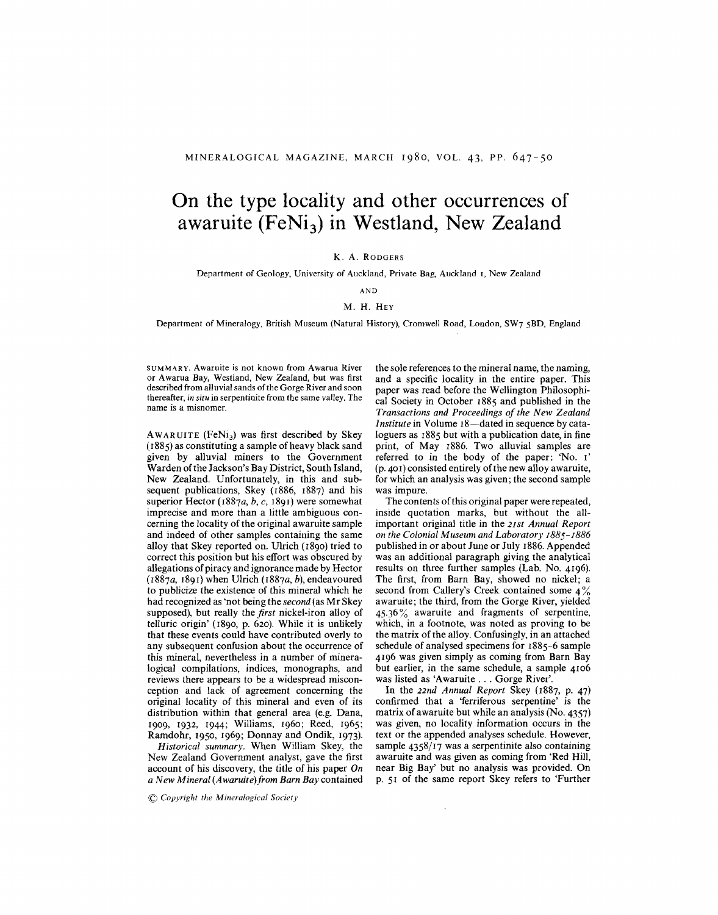## **On the type locality and other occurrences of awaruite (FeNi3) in Westland, New Zealand**

## K. A. RODGERS

Department of Geology, University of Auckland, Private Bag, Auckland I, New Zealand

AND

## M. H. HEY

Department of Mineralogy, British Museum (Natural History), Cromwell Road, London, SW7 SBD, England

SUMMARY. Awaruite is not known from Awarua River or Awarua Bay, Westland, New Zealand, but was first described from alluvial sands of the Gorge River and soon thereafter, *in situ* in serpentinite from the same valley. The name is a misnomer.

AWARUITE (FeNi<sub>3</sub>) was first described by Skey (1885) as constituting a sample of heavy black sand given by alluvial miners to the Government Warden of the Jackson's Bay District, South Island, New Zealand. Unfortunately, in this and subsequent publications, Skey (1886, 1887) and his superior Hector *(I887a, b,* c, 189I) were somewhat imprecise and more than a little ambiguous concerning the locality of the original awaruite sample and indeed of other samples containing the same alloy that Skey reported on. Ulrich (I890) tried to correct this position but his effort was obscured by allegations of piracy and ignorance made by Hector *(I887a,* I89I) when Ulrich *(I887a, b),* endeavoured to publicize the existence of this mineral which he had recognized as 'not being the *second* (as Mr Skey supposed), but really the *first* nickel-iron alloy of telluric origin' (I890, p. 620). While it is unlikely that these events could have contributed overly to any subsequent confusion about the occurrence of this mineral, nevertheless in a number of mineralogical compilations, indices, monographs, and reviews there appears to be a widespread misconception and lack of agreement concerning the original locality of this mineral and even of its distribution within that general area (e.g. Dana, I909, I932, I944; Williams, I960; Reed, I965; Ramdohr, I950, I969; Donnay and Ondik, I973).

*Historical summary.* When William Skey, the New Zealand Government analyst, gave the first account of his discovery, the title of his paper *On a New Mineral (Awaruite)from Barn Bay* contained

@ *Copyright the Mineralogical Society*

the sole references to the mineral name, the naming, and a specific locality in the entire paper. This paper was read before the Wellington Philosophical Society in October I885 and published in the *Transactions and Proceedings of the New Zealand Institute* in Volume 18—dated in sequence by cataloguers as  $1885$  but with a publication date, in fine print, of May I886. Two alluvial samples are referred to in the body of the paper: 'No. I' (p. 40I) consisted entirely of the new alloy awaruite, for which an analysis was given; the second sample was impure.

The contents of this original paper were repeated, inside quotation marks, but without the allimportant original title in the *21st Annual Report on the Colonial Museum and Laboratory 1885- 1886* published in or about June or July I886. Appended was an additional paragraph giving the analytical results on three further samples (Lab. No. 4I96). The first, from Barn Bay, showed no nickel; a second from Callery's Creek contained some 4% awaruite; the third, from the Gorge River, yielded 45.36% awaruite and fragments of serpentine, which, in a footnote, was noted as proving to be the matrix of the alloy. Confusingly, in an attached schedule of analysed specimens for I885-6 sample 4I96 was given simply as coming from Barn Bay but earlier, in the same schedule, a sample 4I06 was listed as 'Awaruite . . . Gorge River'.

**In** the *22nd Annual Report* Skey (I887, p. 47) confirmed that a 'ferriferous serpentine' is the matrix of awaruite but while an analysis (No. 4357) was given, no locality information occurs in the text or the appended analyses schedule. However, sample  $4358/17$  was a serpentinite also containing awaruite and was given as coming from 'Red **Hill,** near Big Bay' but no analysis was provided. On p. 5I of the same report Skey refers to 'Further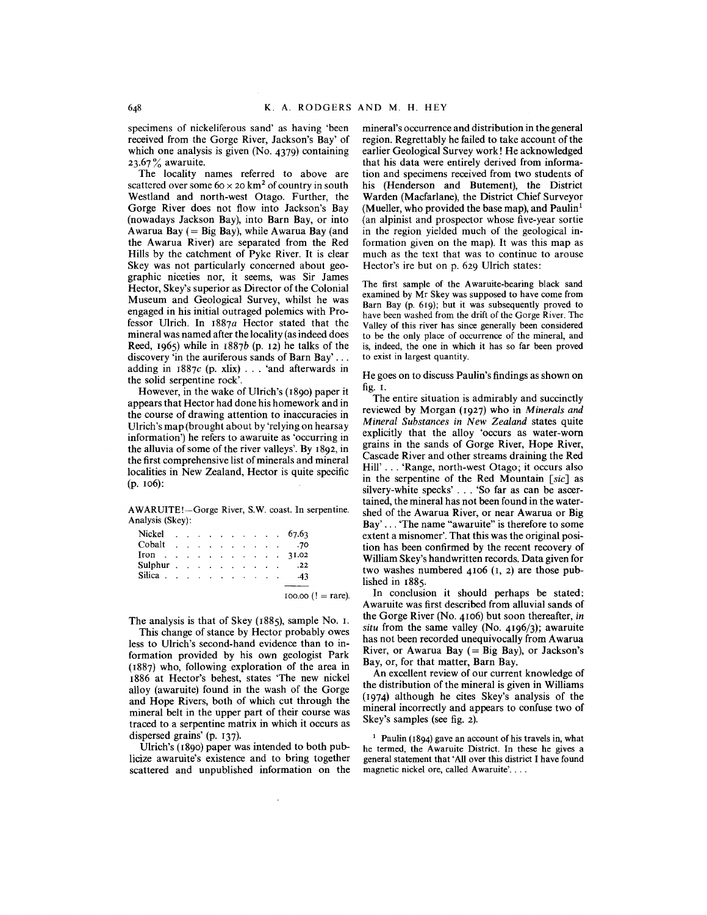specimens of nickeliferous sand' as having 'been received from the Gorge River, Jackson's Bay' of which one analysis is given (No. 4379) containing 23.67 $\%$  awaruite.

The locality names referred to above are scattered over some  $60 \times 20$  km<sup>2</sup> of country in south Westland and north-west Otago. Further, the Gorge River does not flow into Jackson's Bay (nowadays Jackson Bay), into Barn Bay, or into Awarua Bay  $(= Biq Bay)$ , while Awarua Bay (and the Awarua River) are separated from the Red Hills by the catchment of Pyke River. It is clear Skey was not particularly concerned about geographic niceties nor, it seems, was Sir James Hector, Skey's superior as Director of the Colonial Museum and Geological Survey, whilst he was engaged in his initial outraged polemics with Professor Ulrich. **In** 1887a Hector stated that the mineral was named after the locality (as indeed does Reed, 1965) while in  $1887b$  (p. 12) he talks of the discovery 'in the auriferous sands of Barn Bay' . . . adding in  $1887c$  (p. xlix) . . . 'and afterwards in the solid serpentine rock'.

However, in the wake of Ulrich's (1890) paper it appears that Hector had done his homework and in the course of drawing attention to inaccuracies in Ulrich's map (brought about by 'relying on hearsay information') he refers to awaruite as 'occurring in the alluvia of some of the river valleys'. By 1892, in the first comprehensive list of minerals and mineral localities in New Zealand, Hector is quite specific (p. 106):

AWARUITE!-Gorge River, S.W. coast. In serpentine. Analysis (Skey):

| Nickel                                      |  |  |                                        |  |  | $\therefore$ $\therefore$ $\therefore$ $\therefore$ $\therefore$ $\therefore$ 67.63 |
|---------------------------------------------|--|--|----------------------------------------|--|--|-------------------------------------------------------------------------------------|
| Cobalt                                      |  |  | design and a state of the state of the |  |  | .70                                                                                 |
| Iron 31.02                                  |  |  |                                        |  |  |                                                                                     |
| Sulphur $\ldots$ $\ldots$ $\ldots$ $\ldots$ |  |  |                                        |  |  | .22                                                                                 |
| Silica                                      |  |  |                                        |  |  | $-43$                                                                               |
|                                             |  |  |                                        |  |  |                                                                                     |

 $100.00$  (! = rare).

The analysis is that of Skey (1885), sample No. I.

This change of stance by Hector probably owes less to Ulrich's second-hand evidence than to information provided by his own geologist Park (1887) who, following exploration of the area in 1886 at Hector's behest, states 'The new nickel alloy (awaruite) found in the wash of the Gorge and Hope Rivers, both of which cut through the mineral belt in the upper part of their course was traced to a serpentine matrix in which it occurs as dispersed grains' (p. 137).

Ulrich's (1890) paper was intended to both publicize awaruite's existence and to bring together scattered and unpublished information on the

mineral's occurrence and distribution in the general region. Regrettably he failed to take account of the earlier Geological Survey work! He acknowledged that his data were entirely derived from information and specimens received from two students of his (Henderson and Butement), the District Warden (Macfarlane), the District Chief Surveyor (Mueller, who provided the base map), and Paulin<sup>1</sup> (an alpinist and prospector whose five-year sortie in the region yielded much of the geological information given on the map). It was this map as much as the text that was to continue to arouse Hector's ire but on p. 629 Ulrich states:

The first sample of the Awaruite-bearing black sand examined by Mr Skey was supposed to have come from Barn Bay (p. 619); but it was subsequently proved to have been washed from the drift of the Gorge River. The Valley of this river has since generally been considered to be the only place of occurrence of the mineral, and is, indeed, the one in which it has so far been proved to exist in largest quantity.

He goes on to discuss Paulin's findings as shown on fig. I.

The entire situation is admirably and succinctly reviewed by Morgan (1927) who in *Minerals and Mineral Substances in New Zealand* states quite explicitly that the alloy 'occurs as water-worn grains in the sands of Gorge River, Hope River, Cascade River and other streams draining the Red Hill' . . . 'Range, north-west Otago; it occurs also in the serpentine of the Red Mountain *[sic]* as silvery-white specks' . . . 'So far as can be ascertained, the mineral has not been found in the watershed of the Awarua River, or near Awarua or Big Bay' . . . 'The name "awaruite" is therefore to some extent a misnomer'. That this was the original position has been confirmed by the recent recovery of William Skey's handwritten records. Data given for two washes numbered 4106 (I, 2) are those published in 1885.

**In** conclusion it should perhaps be stated: Awaruite was first described from alluvial sands of the Gorge River (No. 4106) but soon thereafter, *in situ* from the same valley (No. 4196/3); awaruite has not been recorded unequivocally from Awarua River, or Awarua Bay  $( =$  Big Bay), or Jackson's Bay, or, for that matter, Barn Bay.

An excellent review of our current knowledge of the distribution of the mineral is given in Williams (1974) although he cites Skey's analysis of the mineral incorrectly and appears to confuse two of Skey's samples (see fig. 2).

<sup>&</sup>lt;sup>1</sup> Paulin (1894) gave an account of his travels in, what he termed, the Awaruite District. In these he gives a general statement that' All over this district I have found magnetic nickel ore, called Awaruite'. . . .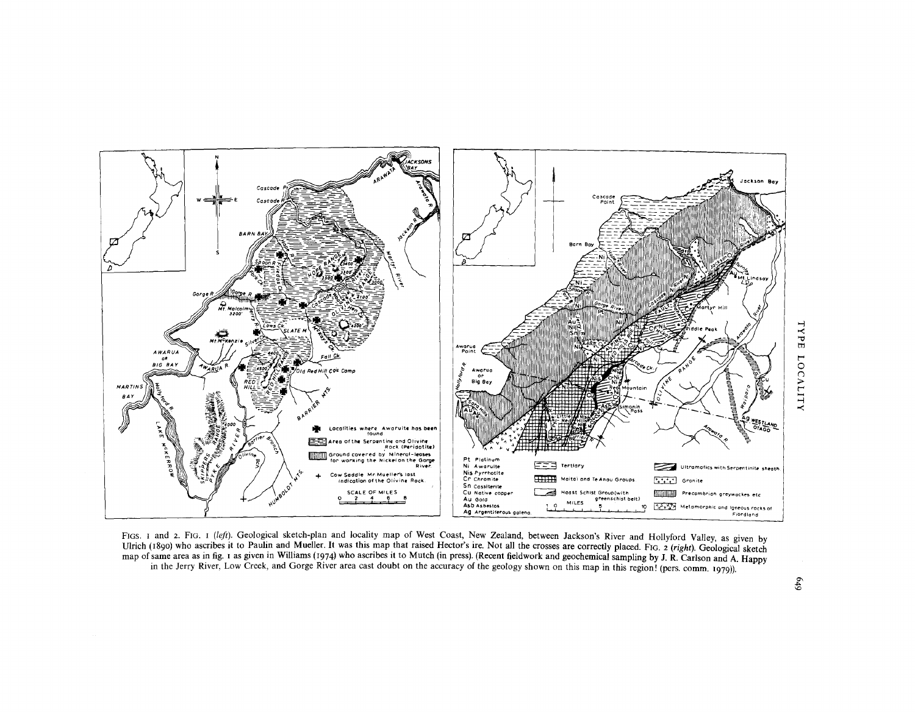

FIGS. I and 2. FIG. I (left). Geological sketch-plan and locality map of West Coast, New Zealand, between Jackson's River and Hollyford Valley, as given by Ulrich (1890) who ascribes it to Paulin and Mueller. It was this map that raised Hector's ire. Not all the crosses are correctly placed. FIG. 2 (right). Geological sketch map of same area as in fig. 1 as given in Williams (1974) who ascribes it to Mutch (in press). (Recent fieldwork and geochemical sampling by J. R. Carlson and A. Happy in the Jerry River, Low Creek, and Gorge River area cast doubt on the accuracy of the geology shown on this map in this region! (pers. comm. 1979)).